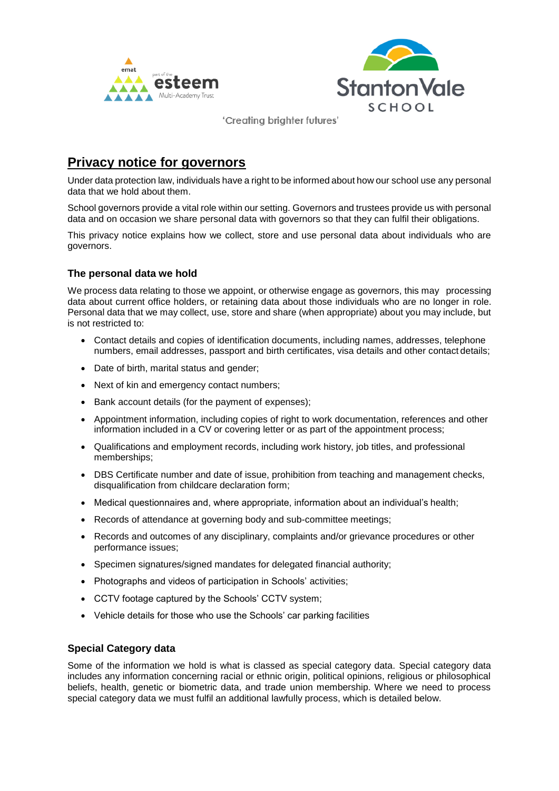



# **Privacy notice for governors**

Under data protection law, individuals have a right to be informed about how our school use any personal data that we hold about them.

School governors provide a vital role within our setting. Governors and trustees provide us with personal data and on occasion we share personal data with governors so that they can fulfil their obligations.

This privacy notice explains how we collect, store and use personal data about individuals who are governors.

# **The personal data we hold**

We process data relating to those we appoint, or otherwise engage as governors, this may processing data about current office holders, or retaining data about those individuals who are no longer in role. Personal data that we may collect, use, store and share (when appropriate) about you may include, but is not restricted to:

- Contact details and copies of identification documents, including names, addresses, telephone numbers, email addresses, passport and birth certificates, visa details and other contact details;
- Date of birth, marital status and gender;
- Next of kin and emergency contact numbers;
- Bank account details (for the payment of expenses);
- Appointment information, including copies of right to work documentation, references and other information included in a CV or covering letter or as part of the appointment process;
- Qualifications and employment records, including work history, job titles, and professional memberships;
- DBS Certificate number and date of issue, prohibition from teaching and management checks, disqualification from childcare declaration form;
- Medical questionnaires and, where appropriate, information about an individual's health;
- Records of attendance at governing body and sub-committee meetings;
- Records and outcomes of any disciplinary, complaints and/or grievance procedures or other performance issues;
- Specimen signatures/signed mandates for delegated financial authority;
- Photographs and videos of participation in Schools' activities;
- CCTV footage captured by the Schools' CCTV system;
- Vehicle details for those who use the Schools' car parking facilities

### **Special Category data**

Some of the information we hold is what is classed as special category data. Special category data includes any information concerning racial or ethnic origin, political opinions, religious or philosophical beliefs, health, genetic or biometric data, and trade union membership. Where we need to process special category data we must fulfil an additional lawfully process, which is detailed below.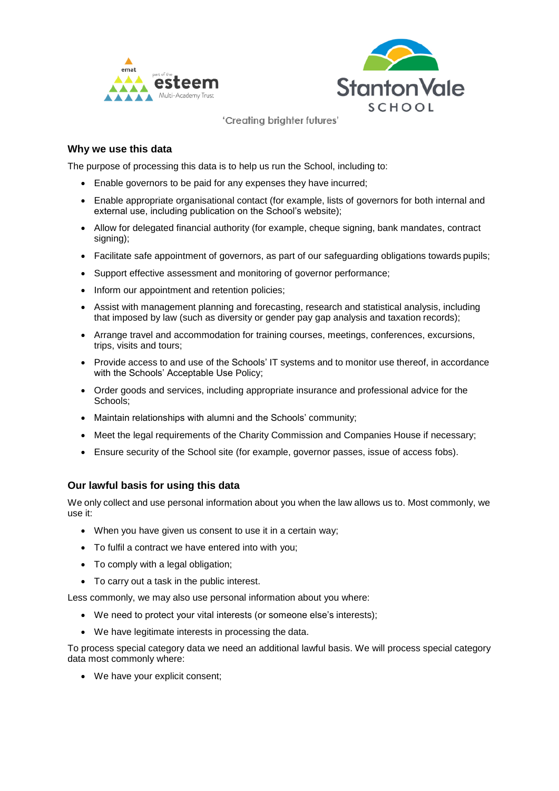



## **Why we use this data**

The purpose of processing this data is to help us run the School, including to:

- Enable governors to be paid for any expenses they have incurred;
- Enable appropriate organisational contact (for example, lists of governors for both internal and external use, including publication on the School's website);
- Allow for delegated financial authority (for example, cheque signing, bank mandates, contract signing);
- Facilitate safe appointment of governors, as part of our safeguarding obligations towards pupils;
- Support effective assessment and monitoring of governor performance;
- Inform our appointment and retention policies;
- Assist with management planning and forecasting, research and statistical analysis, including that imposed by law (such as diversity or gender pay gap analysis and taxation records);
- Arrange travel and accommodation for training courses, meetings, conferences, excursions, trips, visits and tours;
- Provide access to and use of the Schools' IT systems and to monitor use thereof, in accordance with the Schools' Acceptable Use Policy;
- Order goods and services, including appropriate insurance and professional advice for the Schools;
- Maintain relationships with alumni and the Schools' community;
- Meet the legal requirements of the Charity Commission and Companies House if necessary;
- Ensure security of the School site (for example, governor passes, issue of access fobs).

# **Our lawful basis for using this data**

We only collect and use personal information about you when the law allows us to. Most commonly, we use it:

- When you have given us consent to use it in a certain way;
- To fulfil a contract we have entered into with you;
- To comply with a legal obligation;
- To carry out a task in the public interest.

Less commonly, we may also use personal information about you where:

- We need to protect your vital interests (or someone else's interests);
- We have legitimate interests in processing the data.

To process special category data we need an additional lawful basis. We will process special category data most commonly where:

• We have your explicit consent;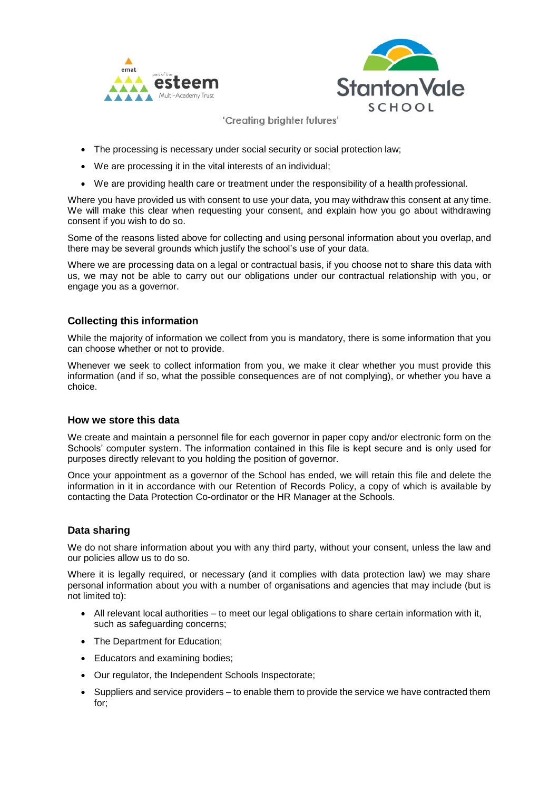



- The processing is necessary under social security or social protection law;
- We are processing it in the vital interests of an individual;
- We are providing health care or treatment under the responsibility of a health professional.

Where you have provided us with consent to use your data, you may withdraw this consent at any time. We will make this clear when requesting your consent, and explain how you go about withdrawing consent if you wish to do so.

Some of the reasons listed above for collecting and using personal information about you overlap, and there may be several grounds which justify the school's use of your data.

Where we are processing data on a legal or contractual basis, if you choose not to share this data with us, we may not be able to carry out our obligations under our contractual relationship with you, or engage you as a governor.

## **Collecting this information**

While the majority of information we collect from you is mandatory, there is some information that you can choose whether or not to provide.

Whenever we seek to collect information from you, we make it clear whether you must provide this information (and if so, what the possible consequences are of not complying), or whether you have a choice.

### **How we store this data**

We create and maintain a personnel file for each governor in paper copy and/or electronic form on the Schools' computer system. The information contained in this file is kept secure and is only used for purposes directly relevant to you holding the position of governor.

Once your appointment as a governor of the School has ended, we will retain this file and delete the information in it in accordance with our Retention of Records Policy, a copy of which is available by contacting the Data Protection Co-ordinator or the HR Manager at the Schools.

### **Data sharing**

We do not share information about you with any third party, without your consent, unless the law and our policies allow us to do so.

Where it is legally required, or necessary (and it complies with data protection law) we may share personal information about you with a number of organisations and agencies that may include (but is not limited to):

- All relevant local authorities to meet our legal obligations to share certain information with it, such as safeguarding concerns;
- The Department for Education;
- Educators and examining bodies;
- Our regulator, the Independent Schools Inspectorate;
- Suppliers and service providers to enable them to provide the service we have contracted them for;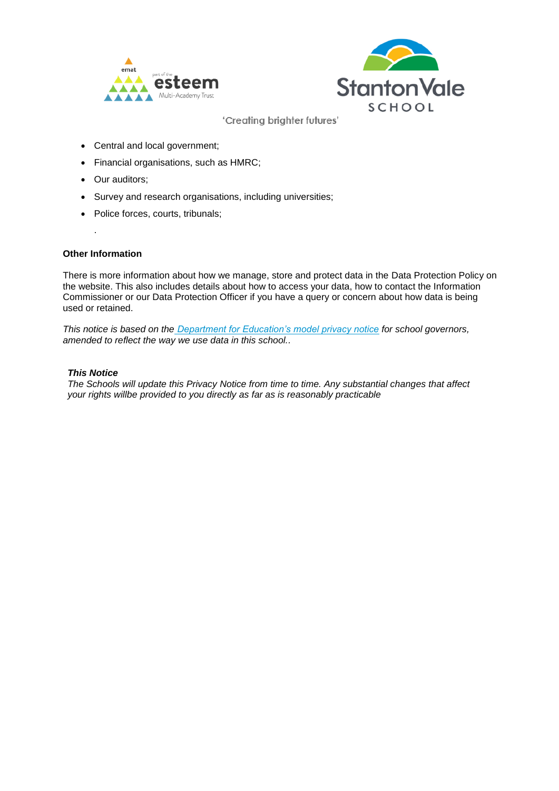



- Central and local government;
- Financial organisations, such as HMRC;
- Our auditors;
- Survey and research organisations, including universities;
- Police forces, courts, tribunals;

#### **Other Information**

.

There is more information about how we manage, store and protect data in the Data Protection Policy on the website. This also includes details about how to access your data, how to contact the Information Commissioner or our Data Protection Officer if you have a query or concern about how data is being used or retained.

*This notice is based on the [Department for Education's model privacy notice](https://www.gov.uk/government/publications/data-protection-and-privacy-privacy-notices) for school governors, amended to reflect the way we use data in this school..*

#### *This Notice*

*The Schools will update this Privacy Notice from time to time. Any substantial changes that affect your rights willbe provided to you directly as far as is reasonably practicable*